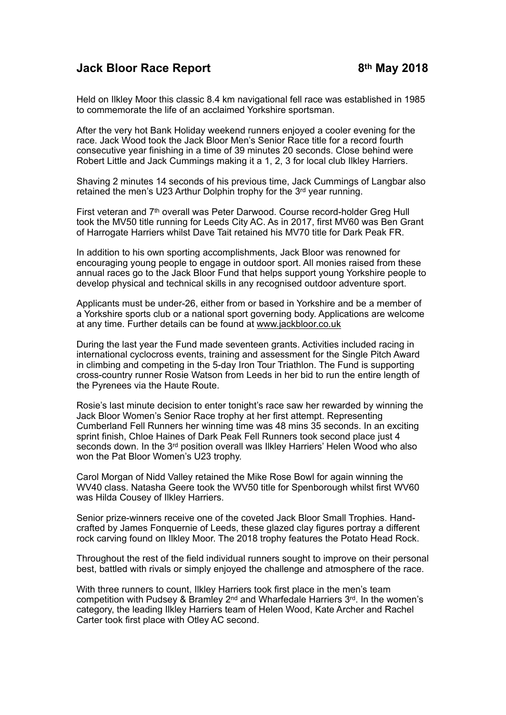## **Jack Bloor Race Report 6th May 2018**

Held on Ilkley Moor this classic 8.4 km navigational fell race was established in 1985 to commemorate the life of an acclaimed Yorkshire sportsman.

After the very hot Bank Holiday weekend runners enjoyed a cooler evening for the race. Jack Wood took the Jack Bloor Men's Senior Race title for a record fourth consecutive year finishing in a time of 39 minutes 20 seconds. Close behind were Robert Little and Jack Cummings making it a 1, 2, 3 for local club Ilkley Harriers.

Shaving 2 minutes 14 seconds of his previous time, Jack Cummings of Langbar also retained the men's U23 Arthur Dolphin trophy for the 3rd year running.

First veteran and 7th overall was Peter Darwood. Course record-holder Greg Hull took the MV50 title running for Leeds City AC. As in 2017, first MV60 was Ben Grant of Harrogate Harriers whilst Dave Tait retained his MV70 title for Dark Peak FR.

In addition to his own sporting accomplishments, Jack Bloor was renowned for encouraging young people to engage in outdoor sport. All monies raised from these annual races go to the Jack Bloor Fund that helps support young Yorkshire people to develop physical and technical skills in any recognised outdoor adventure sport.

Applicants must be under-26, either from or based in Yorkshire and be a member of a Yorkshire sports club or a national sport governing body. Applications are welcome at any time. Further details can be found at [www.jackbloor.co.uk](http://www.jackbloor.co.uk)

During the last year the Fund made seventeen grants. Activities included racing in international cyclocross events, training and assessment for the Single Pitch Award in climbing and competing in the 5-day Iron Tour Triathlon. The Fund is supporting cross-country runner Rosie Watson from Leeds in her bid to run the entire length of the Pyrenees via the Haute Route.

Rosie's last minute decision to enter tonight's race saw her rewarded by winning the Jack Bloor Women's Senior Race trophy at her first attempt. Representing Cumberland Fell Runners her winning time was 48 mins 35 seconds. In an exciting sprint finish, Chloe Haines of Dark Peak Fell Runners took second place just 4 seconds down. In the 3rd position overall was Ilkley Harriers' Helen Wood who also won the Pat Bloor Women's U23 trophy.

Carol Morgan of Nidd Valley retained the Mike Rose Bowl for again winning the WV40 class. Natasha Geere took the WV50 title for Spenborough whilst first WV60 was Hilda Cousey of Ilkley Harriers.

Senior prize-winners receive one of the coveted Jack Bloor Small Trophies. Handcrafted by James Fonquernie of Leeds, these glazed clay figures portray a different rock carving found on Ilkley Moor. The 2018 trophy features the Potato Head Rock.

Throughout the rest of the field individual runners sought to improve on their personal best, battled with rivals or simply enjoyed the challenge and atmosphere of the race.

With three runners to count, Ilkley Harriers took first place in the men's team competition with Pudsey & Bramley 2nd and Wharfedale Harriers 3rd. In the women's category, the leading Ilkley Harriers team of Helen Wood, Kate Archer and Rachel Carter took first place with Otley AC second.